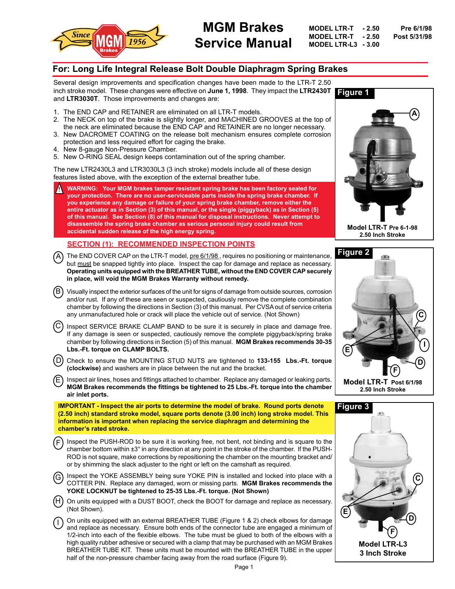

# **MGM Brakes Service Manual**

**MODEL LTR-T - 2.50 Pre 6/1/98 MODEL LTR-T**  $-2.50$ **MODEL LTR-L3 - 3.00**

# **For: Long Life Integral Release Bolt Double Diaphragm Spring Brakes**

Several design improvements and specification changes have been made to the LTR-T 2.50 inch stroke model. These changes were effective on **June 1, 1998**. They impact the **LTR2430T** and **LTR3030T**. Those improvements and changes are:

- 1. The END CAP and RETAINER are eliminated on all LTR-T models.
- 2. The NECK on top of the brake is slightly longer, and MACHINED GROOVES at the top of the neck are eliminated because the END CAP and RETAINER are no longer necessary.
- 3. New DACROMET COATING on the release bolt mechanism ensures complete corrosion protection and less required effort for caging the brake.
- 4. New 8-gauge Non-Pressure Chamber.
- 5. New O-RING SEAL design keeps contamination out of the spring chamber.

The new LTR2430L3 and LTR3030L3 (3 inch stroke) models include all of these design features listed above, with the exception of the external breather tube.

! **WARNING: Your MGM brakes tamper resistant spring brake has been factory sealed for your protection. There are no user-serviceable parts inside the spring brake chamber. If you experience any damage or failure of your spring brake chamber, remove either the entire actuator as in Section (3) of this manual, or the single (piggyback) as in Section (5) of this manual. See Section (8) of this manual for disposal instructions. Never attempt to disassemble the spring brake chamber as serious personal injury could result from accidental sudden release of the high energy spring.**

# **SECTION (1): RECOMMENDED INSPECTION POINTS**

- A) The END COVER CAP on the LTR-T model, <u>pre 6/1/98 ,</u> requires no positioning or maintenance, but must be snapped tightly into place. Inspect the cap for damage and replace as necessary. **Operating units equipped with the BREATHER TUBE, without the END COVER CAP securely in place, will void the MGM Brakes Warranty without remedy.**
- $\, {\sf B} \, \,$  Visually inspect the exterior surfaces of the unit for signs of damage from outside sources, corrosion  $\,$ and/or rust. If any of these are seen or suspected, cautiously remove the complete combination chamber by following the directions in Section (3) of this manual. Per CVSA out of service criteria any unmanufactured hole or crack will place the vehicle out of service. (Not Shown)
- Inspect SERVICE BRAKE CLAMP BAND to be sure it is securely in place and damage free. If any damage is seen or suspected, cautiously remove the complete piggyback/spring brake chamber by following directions in Section (5) of this manual. **MGM Brakes recommends 30-35 Lbs.-Ft. torque on CLAMP BOLTS.** C
- Check to ensure the MOUNTING STUD NUTS are tightened to **133-155 Lbs.-Ft. torque (clockwise)** and washers are in place between the nut and the bracket. (D)
- Inspect air lines, hoses and fittings attached to chamber. Replace any damaged or leaking parts. **MGM Brakes recommends the fittings be tightened to 25 Lbs.-Ft. torque into the chamber air inlet ports.** E

**IMPORTANT - Inspect the air ports to determine the model of brake. Round ports denote (2.50 inch) standard stroke model, square ports denote (3.00 inch) long stroke model. This information is important when replacing the service diaphragm and determining the chamber's rated stroke.**

- Inspect the PUSH-ROD to be sure it is working free, not bent, not binding and is square to the chamber bottom within ±3° in any direction at any point in the stroke of the chamber. If the PUSH-ROD is not square, make corrections by repositioning the chamber on the mounting bracket and/ or by shimming the slack adjuster to the right or left on the camshaft as required. F
- Inspect the YOKE ASSEMBLY being sure YOKE PIN is installed and locked into place with a COTTER PIN. Replace any damaged, worn or missing parts. **MGM Brakes recommends the YOKE LOCKNUT be tightened to 25-35 Lbs.-Ft. torque. (Not Shown)** G
- On units equipped with a DUST BOOT, check the BOOT for damage and replace as necessary. (Not Shown). (H)
- On units equipped with an external BREATHER TUBE (Figure 1 & 2) check elbows for damage and replace as necessary. Ensure both ends of the connector tube are engaged a minimum of 1/2-inch into each of the flexible elbows. The tube must be glued to both of the elbows with a high quality rubber adhesive or secured with a clamp that may be purchased with an MGM Brakes BREATHER TUBE KIT. These units must be mounted with the BREATHER TUBE in the upper half of the non-pressure chamber facing away from the road surface (Figure 9). I



**Model LTR-T Pre 6-1-98 2.50 Inch Stroke**





Page 1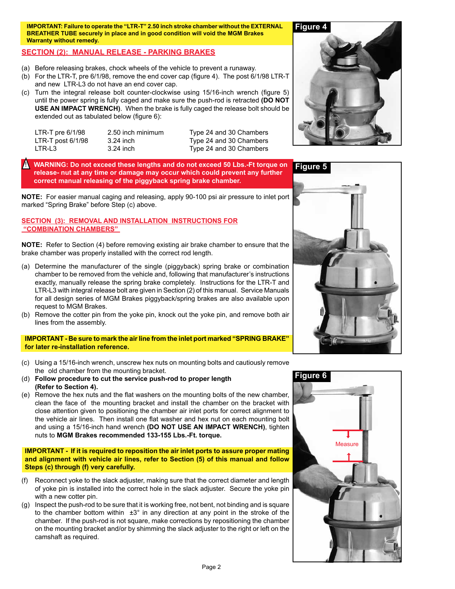**IMPORTANT: Failure to operate the "LTR-T" 2.50 inch stroke chamber without the EXTERNAL BREATHER TUBE securely in place and in good condition will void the MGM Brakes Warranty without remedy.**

# **SECTION (2): MANUAL RELEASE - PARKING BRAKES**

- (a) Before releasing brakes, chock wheels of the vehicle to prevent a runaway.
- (b) For the LTR-T, pre 6/1/98, remove the end cover cap (figure 4). The post 6/1/98 LTR-T and new LTR-L3 do not have an end cover cap.
- (c) Turn the integral release bolt counter-clockwise using 15/16-inch wrench (figure 5) until the power spring is fully caged and make sure the push-rod is retracted **(DO NOT USE AN IMPACT WRENCH)**. When the brake is fully caged the release bolt should be extended out as tabulated below (figure 6):

| LTR-T pre $6/1/98$  | $2.50$ inch n |
|---------------------|---------------|
| LTR-T post $6/1/98$ | 3.24 inch     |
| LTR-L3              | 3.24 inch     |

ninimum Type 24 and 30 Chambers Type 24 and 30 Chambers Type 24 and 30 Chambers

! **WARNING: Do not exceed these lengths and do not exceed 50 Lbs.-Ft torque on release- nut at any time or damage may occur which could prevent any further correct manual releasing of the piggyback spring brake chamber.** 

**NOTE:** For easier manual caging and releasing, apply 90-100 psi air pressure to inlet port marked "Spring Brake" before Step (c) above.

### **SECTION (3): REMOVAL AND INSTALLATION INSTRUCTIONS FOR "COMBINATION CHAMBERS"**

**NOTE:** Refer to Section (4) before removing existing air brake chamber to ensure that the brake chamber was properly installed with the correct rod length.

- (a) Determine the manufacturer of the single (piggyback) spring brake or combination chamber to be removed from the vehicle and, following that manufacturer's instructions exactly, manually release the spring brake completely. Instructions for the LTR-T and LTR-L3 with integral release bolt are given in Section (2) of this manual. Service Manuals for all design series of MGM Brakes piggyback/spring brakes are also available upon request to MGM Brakes.
- (b) Remove the cotter pin from the yoke pin, knock out the yoke pin, and remove both air lines from the assembly.

### **IMPORTANT - Be sure to mark the air line from the inlet port marked "SPRING BRAKE" for later re-installation reference.**

- (c) Using a 15/16-inch wrench, unscrew hex nuts on mounting bolts and cautiously remove the old chamber from the mounting bracket.
- (d) **Follow procedure to cut the service push-rod to proper length (Refer to Section 4).**
- (e) Remove the hex nuts and the flat washers on the mounting bolts of the new chamber, clean the face of the mounting bracket and install the chamber on the bracket with close attention given to positioning the chamber air inlet ports for correct alignment to the vehicle air lines. Then install one flat washer and hex nut on each mounting bolt and using a 15/16-inch hand wrench **(DO NOT USE AN IMPACT WRENCH)**, tighten nuts to **MGM Brakes recommended 133-155 Lbs.-Ft. torque.**

### **IMPORTANT - If it is required to reposition the air inlet ports to assure proper mating and alignment with vehicle air lines, refer to Section (5) of this manual and follow Steps (c) through (f) very carefully.**

- (f) Reconnect yoke to the slack adjuster, making sure that the correct diameter and length of yoke pin is installed into the correct hole in the slack adjuster. Secure the yoke pin with a new cotter pin.
- (g) Inspect the push-rod to be sure that it is working free, not bent, not binding and is square to the chamber bottom within  $\pm 3^\circ$  in any direction at any point in the stroke of the chamber. If the push-rod is not square, make corrections by repositioning the chamber on the mounting bracket and/or by shimming the slack adjuster to the right or left on the camshaft as required.

# **Figure 4**



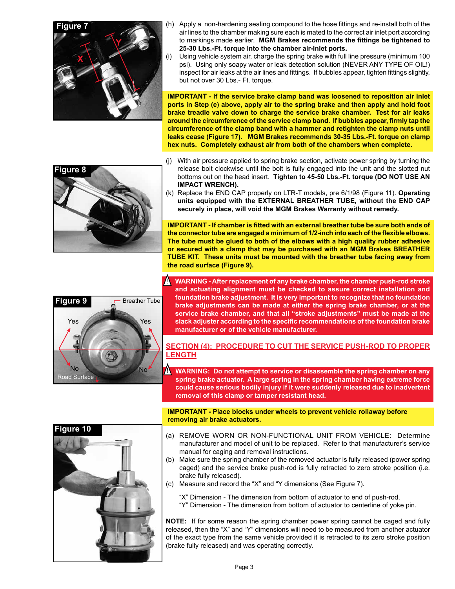

- (h) Apply a non-hardening sealing compound to the hose fittings and re-install both of the air lines to the chamber making sure each is mated to the correct air inlet port according to markings made earlier. **MGM Brakes recommends the fittings be tightened to 25-30 Lbs.-Ft. torque into the chamber air-inlet ports.**
- (i) Using vehicle system air, charge the spring brake with full line pressure (minimum 100 psi). Using only soapy water or leak detection solution (NEVER ANY TYPE OF OIL!) inspect for air leaks at the air lines and fittings. If bubbles appear, tighten fittings slightly, but not over 30 Lbs.- Ft. torque.

**IMPORTANT - If the service brake clamp band was loosened to reposition air inlet ports in Step (e) above, apply air to the spring brake and then apply and hold foot brake treadle valve down to charge the service brake chamber. Test for air leaks around the circumference of the service clamp band. If bubbles appear, firmly tap the circumference of the clamp band with a hammer and retighten the clamp nuts until leaks cease (Figure 17). MGM Brakes recommends 30-35 Lbs.-Ft. torque on clamp hex nuts. Completely exhaust air from both of the chambers when complete.**



- (j) With air pressure applied to spring brake section, activate power spring by turning the release bolt clockwise until the bolt is fully engaged into the unit and the slotted nut bottoms out on the head insert. **Tighten to 45-50 Lbs.-Ft. torque (DO NOT USE AN IMPACT WRENCH).**
- (k) Replace the END CAP properly on LTR-T models, pre 6/1/98 (Figure 11). **Operating units equipped with the EXTERNAL BREATHER TUBE, without the END CAP securely in place, will void the MGM Brakes Warranty without remedy.**

**IMPORTANT - If chamber is fitted with an external breather tube be sure both ends of the connector tube are engaged a minimum of 1/2-inch into each of the flexible elbows. The tube must be glued to both of the elbows with a high quality rubber adhesive or secured with a clamp that may be purchased with an MGM Brakes BREATHER TUBE KIT. These units must be mounted with the breather tube facing away from the road surface (Figure 9).**



 $\blacktriangle$ **WARNING - After replacement of any brake chamber, the chamber push-rod stroke and actuating alignment must be checked to assure correct installation and foundation brake adjustment. It is very important to recognize that no foundation brake adjustments can be made at either the spring brake chamber, or at the service brake chamber, and that all "stroke adjustments" must be made at the slack adjuster according to the specific recommendations of the foundation brake manufacturer or of the vehicle manufacturer.**

# **SECTION (4): PROCEDURE TO CUT THE SERVICE PUSH-ROD TO PROPER LENGTH**

 $\blacksquare$ **WARNING: Do not attempt to service or disassemble the spring chamber on any spring brake actuator. A large spring in the spring chamber having extreme force could cause serious bodily injury if it were suddenly released due to inadvertent removal of this clamp or tamper resistant head.**



**IMPORTANT - Place blocks under wheels to prevent vehicle rollaway before removing air brake actuators.**

- (a) REMOVE WORN OR NON-FUNCTIONAL UNIT FROM VEHICLE: Determine manufacturer and model of unit to be replaced. Refer to that manufacturer's service manual for caging and removal instructions.
- (b) Make sure the spring chamber of the removed actuator is fully released (power spring caged) and the service brake push-rod is fully retracted to zero stroke position (i.e. brake fully released).
- (c) Measure and record the "X" and "Y dimensions (See Figure 7).

"X" Dimension - The dimension from bottom of actuator to end of push-rod.

"Y" Dimension - The dimension from bottom of actuator to centerline of yoke pin.

**NOTE:** If for some reason the spring chamber power spring cannot be caged and fully released, then the "X" and "Y" dimensions will need to be measured from another actuator of the exact type from the same vehicle provided it is retracted to its zero stroke position (brake fully released) and was operating correctly.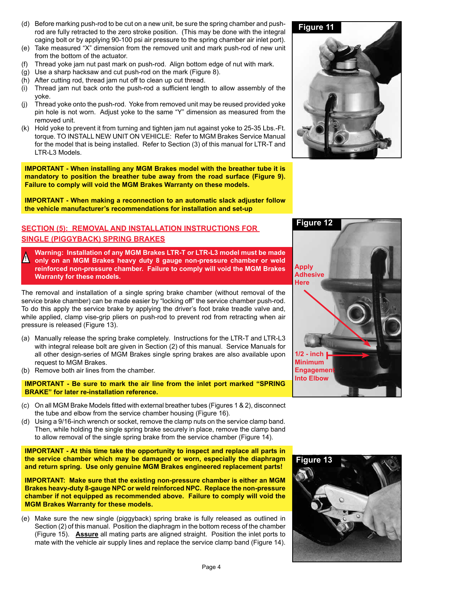- (d) Before marking push-rod to be cut on a new unit, be sure the spring chamber and pushrod are fully retracted to the zero stroke position. (This may be done with the integral caging bolt or by applying 90-100 psi air pressure to the spring chamber air inlet port).
- (e) Take measured "X" dimension from the removed unit and mark push-rod of new unit from the bottom of the actuator.
- (f) Thread yoke jam nut past mark on push-rod. Align bottom edge of nut with mark.
- (g) Use a sharp hacksaw and cut push-rod on the mark (Figure 8).
- (h) After cutting rod, thread jam nut off to clean up cut thread.
- (i) Thread jam nut back onto the push-rod a sufficient length to allow assembly of the yoke.
- (j) Thread yoke onto the push-rod. Yoke from removed unit may be reused provided yoke pin hole is not worn. Adjust yoke to the same "Y" dimension as measured from the removed unit.
- (k) Hold yoke to prevent it from turning and tighten jam nut against yoke to 25-35 Lbs.-Ft. torque. TO INSTALL NEW UNIT ON VEHICLE: Refer to MGM Brakes Service Manual for the model that is being installed. Refer to Section (3) of this manual for LTR-T and LTR-L3 Models.

**IMPORTANT - When installing any MGM Brakes model with the breather tube it is mandatory to position the breather tube away from the road surface (Figure 9). Failure to comply will void the MGM Brakes Warranty on these models.** 

**IMPORTANT - When making a reconnection to an automatic slack adjuster follow the vehicle manufacturer's recommendations for installation and set-up**

# **SECTION (5): REMOVAL AND INSTALLATION INSTRUCTIONS FOR SINGLE (PIGGYBACK) SPRING BRAKES**

**Warning: Installation of any MGM Brakes LTR-T or LTR-L3 model must be made only on an MGM Brakes heavy duty 8 gauge non-pressure chamber or weld reinforced non-pressure chamber. Failure to comply will void the MGM Brakes Warranty for these models.** !

The removal and installation of a single spring brake chamber (without removal of the service brake chamber) can be made easier by "locking off" the service chamber push-rod. To do this apply the service brake by applying the driver's foot brake treadle valve and, while applied, clamp vise-grip pliers on push-rod to prevent rod from retracting when air pressure is released (Figure 13).

- (a) Manually release the spring brake completely. Instructions for the LTR-T and LTR-L3 with integral release bolt are given in Section (2) of this manual. Service Manuals for all other design-series of MGM Brakes single spring brakes are also available upon request to MGM Brakes.
- (b) Remove both air lines from the chamber.

**IMPORTANT - Be sure to mark the air line from the inlet port marked "SPRING BRAKE" for later re-installation reference.**

- (c) On all MGM Brake Models fitted with external breather tubes (Figures 1 & 2), disconnect the tube and elbow from the service chamber housing (Figure 16).
- (d) Using a 9/16-inch wrench or socket, remove the clamp nuts on the service clamp band. Then, while holding the single spring brake securely in place, remove the clamp band to allow removal of the single spring brake from the service chamber (Figure 14).

**IMPORTANT - At this time take the opportunity to inspect and replace all parts in the service chamber which may be damaged or worn, especially the diaphragm and return spring. Use only genuine MGM Brakes engineered replacement parts!**

**IMPORTANT: Make sure that the existing non-pressure chamber is either an MGM Brakes heavy-duty 8-gauge NPC or weld reinforced NPC. Replace the non-pressure chamber if not equipped as recommended above. Failure to comply will void the MGM Brakes Warranty for these models.**

(e) Make sure the new single (piggyback) spring brake is fully released as outlined in Section (2) of this manual. Position the diaphragm in the bottom recess of the chamber (Figure 15). **Assure** all mating parts are aligned straight. Position the inlet ports to mate with the vehicle air supply lines and replace the service clamp band (Figure 14).





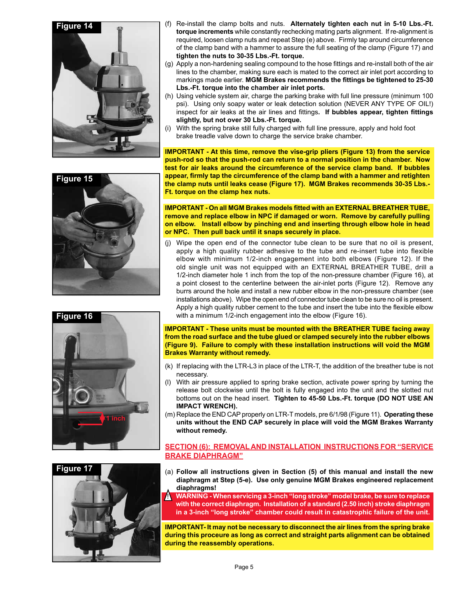



- (g) Apply a non-hardening sealing compound to the hose fittings and re-install both of the air lines to the chamber, making sure each is mated to the correct air inlet port according to markings made earlier. **MGM Brakes recommends the fittings be tightened to 25-30 Lbs.-Ft. torque into the chamber air inlet ports.**
- (h) Using vehicle system air, charge the parking brake with full line pressure (minimum 100 psi). Using only soapy water or leak detection solution (NEVER ANY TYPE OF OIL!) inspect for air leaks at the air lines and fittings**. If bubbles appear, tighten fittings slightly, but not over 30 Lbs.-Ft. torque.**
- (i) With the spring brake still fully charged with full line pressure, apply and hold foot brake treadle valve down to charge the service brake chamber.

**IMPORTANT - At this time, remove the vise-grip pliers (Figure 13) from the service push-rod so that the push-rod can return to a normal position in the chamber. Now test for air leaks around the circumference of the service clamp band. If bubbles appear, firmly tap the circumference of the clamp band with a hammer and retighten the clamp nuts until leaks cease (Figure 17). MGM Brakes recommends 30-35 Lbs.- Ft. torque on the clamp hex nuts.**

**IMPORTANT - On all MGM Brakes models fitted with an EXTERNAL BREATHER TUBE, remove and replace elbow in NPC if damaged or worn. Remove by carefully pulling on elbow. Install elbow by pinching end and inserting through elbow hole in head or NPC. Then pull back until it snaps securely in place.**

(j) Wipe the open end of the connector tube clean to be sure that no oil is present, apply a high quality rubber adhesive to the tube and re-insert tube into flexible elbow with minimum 1/2-inch engagement into both elbows (Figure 12). If the old single unit was not equipped with an EXTERNAL BREATHER TUBE, drill a 1/2-inch diameter hole 1 inch from the top of the non-pressure chamber (Figure 16), at a point closest to the centerline between the air-inlet ports (Figure 12). Remove any burrs around the hole and install a new rubber elbow in the non-pressure chamber (see installations above). Wipe the open end of connector tube clean to be sure no oil is present. Apply a high quality rubber cement to the tube and insert the tube into the flexible elbow with a minimum 1/2-inch engagement into the elbow (Figure 16).

**IMPORTANT - These units must be mounted with the BREATHER TUBE facing away from the road surface and the tube glued or clamped securely into the rubber elbows (Figure 9). Failure to comply with these installation instructions will void the MGM Brakes Warranty without remedy.**

- (k) If replacing with the LTR-L3 in place of the LTR-T, the addition of the breather tube is not necessary.
- With air pressure applied to spring brake section, activate power spring by turning the release bolt clockwise until the bolt is fully engaged into the unit and the slotted nut bottoms out on the head insert. **Tighten to 45-50 Lbs.-Ft. torque (DO NOT USE AN IMPACT WRENCH).**
- (m) Replace the END CAP properly on LTR-T models, pre 6/1/98 (Figure 11). **Operating these units without the END CAP securely in place will void the MGM Brakes Warranty without remedy.**

# **SECTION (6): REMOVAL AND INSTALLATION INSTRUCTIONS FOR "SERVICE BRAKE DIAPHRAGM"**

(a) **Follow all instructions given in Section (5) of this manual and install the new diaphragm at Step (5-e). Use only genuine MGM Brakes engineered replacement diaphragms!**

**WARNING - When servicing a 3-inch "long stroke" model brake, be sure to replace**  ! **with the correct diaphragm. Installation of a standard (2.50 inch) stroke diaphragm in a 3-inch "long stroke" chamber could result in catastrophic failure of the unit.**

**IMPORTANT- It may not be necessary to disconnect the air lines from the spring brake during this proceure as long as correct and straight parts alignment can be obtained during the reassembly operations.**